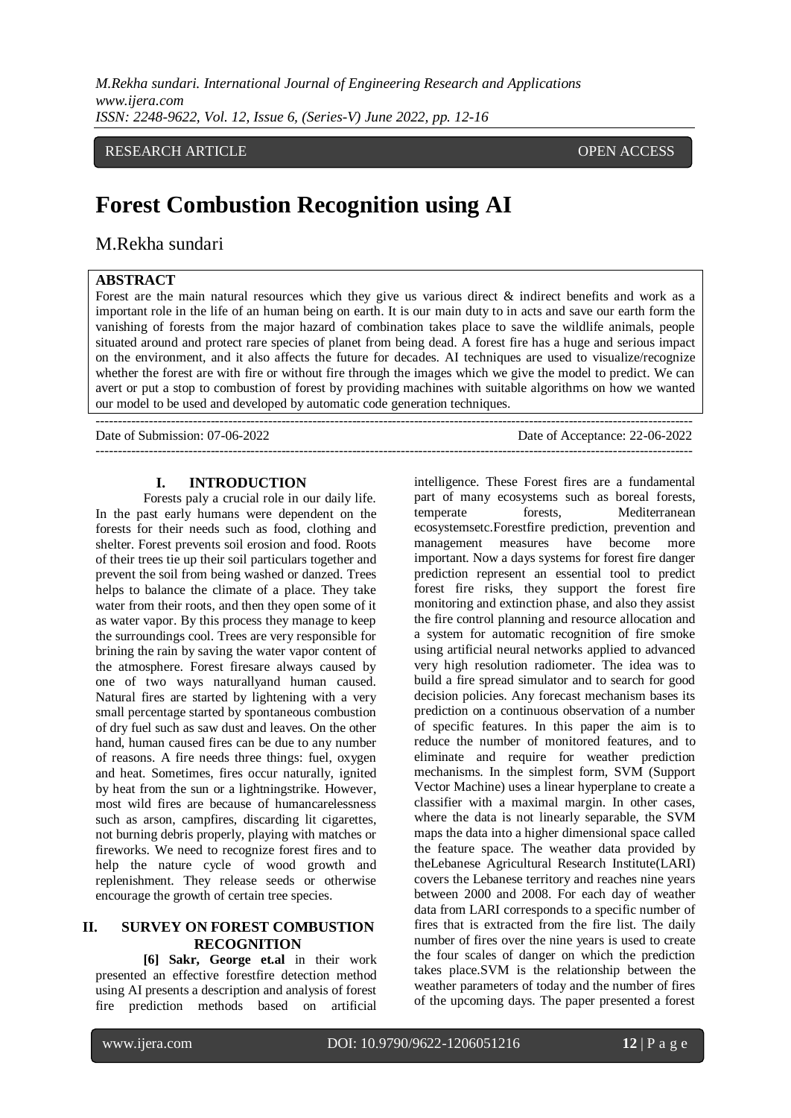*M.Rekha sundari. International Journal of Engineering Research and Applications www.ijera.com ISSN: 2248-9622, Vol. 12, Issue 6, (Series-V) June 2022, pp. 12-16*

# RESEARCH ARTICLE **OPEN ACCESS**

# **Forest Combustion Recognition using AI**

---------------------------------------------------------------------------------------------------------------------------------------

# M.Rekha sundari

## **ABSTRACT**

Forest are the main natural resources which they give us various direct & indirect benefits and work as a important role in the life of an human being on earth. It is our main duty to in acts and save our earth form the vanishing of forests from the major hazard of combination takes place to save the wildlife animals, people situated around and protect rare species of planet from being dead. A forest fire has a huge and serious impact on the environment, and it also affects the future for decades. AI techniques are used to visualize/recognize whether the forest are with fire or without fire through the images which we give the model to predict. We can avert or put a stop to combustion of forest by providing machines with suitable algorithms on how we wanted our model to be used and developed by automatic code generation techniques.

Date of Submission: 07-06-2022 Date of Acceptance: 22-06-2022

---------------------------------------------------------------------------------------------------------------------------------------

#### **I. INTRODUCTION**

Forests paly a crucial role in our daily life. In the past early humans were dependent on the forests for their needs such as food, clothing and shelter. Forest prevents soil erosion and food. Roots of their trees tie up their soil particulars together and prevent the soil from being washed or danzed. Trees helps to balance the climate of a place. They take water from their roots, and then they open some of it as water vapor. By this process they manage to keep the surroundings cool. Trees are very responsible for brining the rain by saving the water vapor content of the atmosphere. Forest firesare always caused by one of two ways naturallyand human caused. Natural fires are started by lightening with a very small percentage started by spontaneous combustion of dry fuel such as saw dust and leaves. On the other hand, human caused fires can be due to any number of reasons. A fire needs three things: fuel, oxygen and heat. Sometimes, fires occur naturally, ignited by heat from the sun or a lightningstrike. However, most wild fires are because of humancarelessness such as arson, campfires, discarding lit cigarettes, not burning debris properly, playing with matches or fireworks. We need to recognize forest fires and to help the nature cycle of wood growth and replenishment. They release seeds or otherwise encourage the growth of certain tree species.

# **II. SURVEY ON FOREST COMBUSTION RECOGNITION**

**[6] Sakr, George et.al** in their work presented an effective forestfire detection method using AI presents a description and analysis of forest fire prediction methods based on artificial intelligence. These Forest fires are a fundamental part of many ecosystems such as boreal forests, temperate forests, Mediterranean ecosystemsetc.Forestfire prediction, prevention and management measures have become more important. Now a days systems for forest fire danger prediction represent an essential tool to predict forest fire risks, they support the forest fire monitoring and extinction phase, and also they assist the fire control planning and resource allocation and a system for automatic recognition of fire smoke using artificial neural networks applied to advanced very high resolution radiometer. The idea was to build a fire spread simulator and to search for good decision policies. Any forecast mechanism bases its prediction on a continuous observation of a number of specific features. In this paper the aim is to reduce the number of monitored features, and to eliminate and require for weather prediction mechanisms. In the simplest form, SVM (Support Vector Machine) uses a linear hyperplane to create a classifier with a maximal margin. In other cases, where the data is not linearly separable, the SVM maps the data into a higher dimensional space called the feature space. The weather data provided by theLebanese Agricultural Research Institute(LARI) covers the Lebanese territory and reaches nine years between 2000 and 2008. For each day of weather data from LARI corresponds to a specific number of fires that is extracted from the fire list. The daily number of fires over the nine years is used to create the four scales of danger on which the prediction takes place.SVM is the relationship between the weather parameters of today and the number of fires of the upcoming days. The paper presented a forest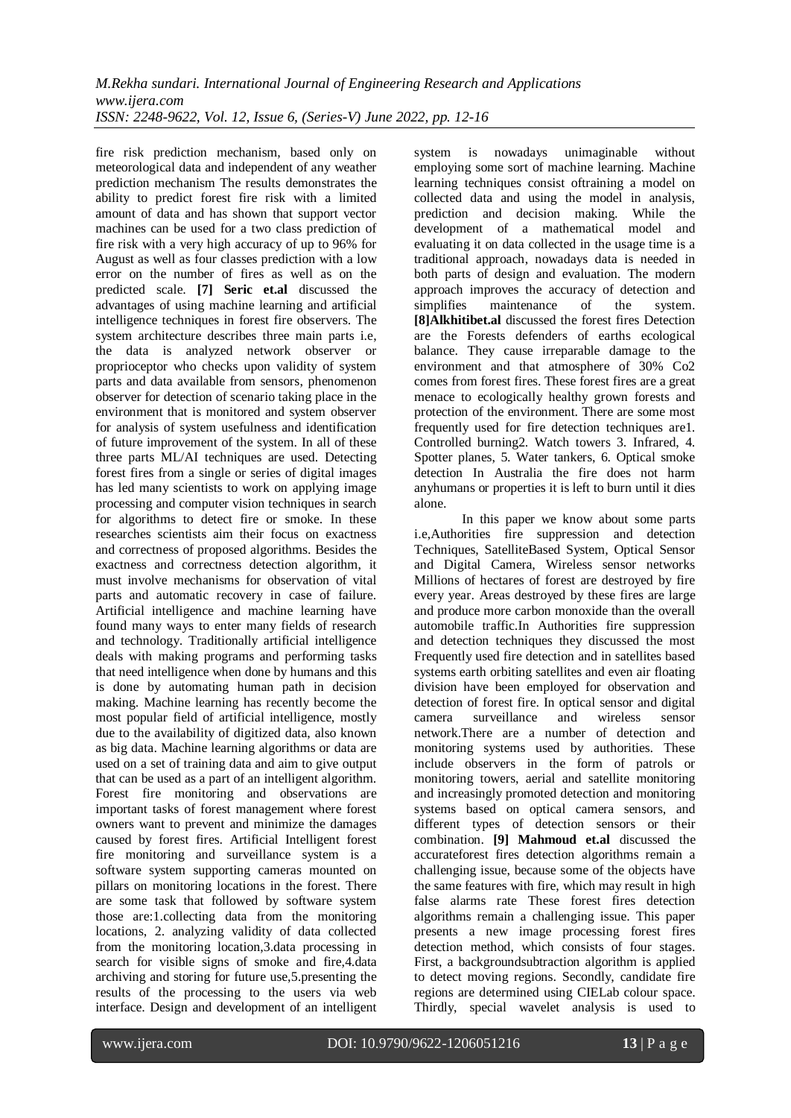fire risk prediction mechanism, based only on meteorological data and independent of any weather prediction mechanism The results demonstrates the ability to predict forest fire risk with a limited amount of data and has shown that support vector machines can be used for a two class prediction of fire risk with a very high accuracy of up to 96% for August as well as four classes prediction with a low error on the number of fires as well as on the predicted scale. **[7] Seric et.al** discussed the advantages of using machine learning and artificial intelligence techniques in forest fire observers. The system architecture describes three main parts i.e, the data is analyzed network observer or proprioceptor who checks upon validity of system parts and data available from sensors, phenomenon observer for detection of scenario taking place in the environment that is monitored and system observer for analysis of system usefulness and identification of future improvement of the system. In all of these three parts ML/AI techniques are used. Detecting forest fires from a single or series of digital images has led many scientists to work on applying image processing and computer vision techniques in search for algorithms to detect fire or smoke. In these researches scientists aim their focus on exactness and correctness of proposed algorithms. Besides the exactness and correctness detection algorithm, it must involve mechanisms for observation of vital parts and automatic recovery in case of failure. Artificial intelligence and machine learning have found many ways to enter many fields of research and technology. Traditionally artificial intelligence deals with making programs and performing tasks that need intelligence when done by humans and this is done by automating human path in decision making. Machine learning has recently become the most popular field of artificial intelligence, mostly due to the availability of digitized data, also known as big data. Machine learning algorithms or data are used on a set of training data and aim to give output that can be used as a part of an intelligent algorithm. Forest fire monitoring and observations are important tasks of forest management where forest owners want to prevent and minimize the damages caused by forest fires. Artificial Intelligent forest fire monitoring and surveillance system is a software system supporting cameras mounted on pillars on monitoring locations in the forest. There are some task that followed by software system those are:1.collecting data from the monitoring locations, 2. analyzing validity of data collected from the monitoring location,3.data processing in search for visible signs of smoke and fire,4.data archiving and storing for future use,5.presenting the results of the processing to the users via web interface. Design and development of an intelligent

system is nowadays unimaginable without employing some sort of machine learning. Machine learning techniques consist oftraining a model on collected data and using the model in analysis, prediction and decision making. While the development of a mathematical model and evaluating it on data collected in the usage time is a traditional approach, nowadays data is needed in both parts of design and evaluation. The modern approach improves the accuracy of detection and simplifies maintenance of the system. **[8]Alkhitibet.al** discussed the forest fires Detection are the Forests defenders of earths ecological balance. They cause irreparable damage to the environment and that atmosphere of 30% Co2 comes from forest fires. These forest fires are a great menace to ecologically healthy grown forests and protection of the environment. There are some most frequently used for fire detection techniques are1. Controlled burning2. Watch towers 3. Infrared, 4. Spotter planes, 5. Water tankers, 6. Optical smoke detection In Australia the fire does not harm anyhumans or properties it is left to burn until it dies alone.

In this paper we know about some parts i.e,Authorities fire suppression and detection Techniques, SatelliteBased System, Optical Sensor and Digital Camera, Wireless sensor networks Millions of hectares of forest are destroyed by fire every year. Areas destroyed by these fires are large and produce more carbon monoxide than the overall automobile traffic.In Authorities fire suppression and detection techniques they discussed the most Frequently used fire detection and in satellites based systems earth orbiting satellites and even air floating division have been employed for observation and detection of forest fire. In optical sensor and digital camera surveillance and wireless sensor network.There are a number of detection and monitoring systems used by authorities. These include observers in the form of patrols or monitoring towers, aerial and satellite monitoring and increasingly promoted detection and monitoring systems based on optical camera sensors, and different types of detection sensors or their combination. **[9] Mahmoud et.al** discussed the accurateforest fires detection algorithms remain a challenging issue, because some of the objects have the same features with fire, which may result in high false alarms rate These forest fires detection algorithms remain a challenging issue. This paper presents a new image processing forest fires detection method, which consists of four stages. First, a backgroundsubtraction algorithm is applied to detect moving regions. Secondly, candidate fire regions are determined using CIELab colour space. Thirdly, special wavelet analysis is used to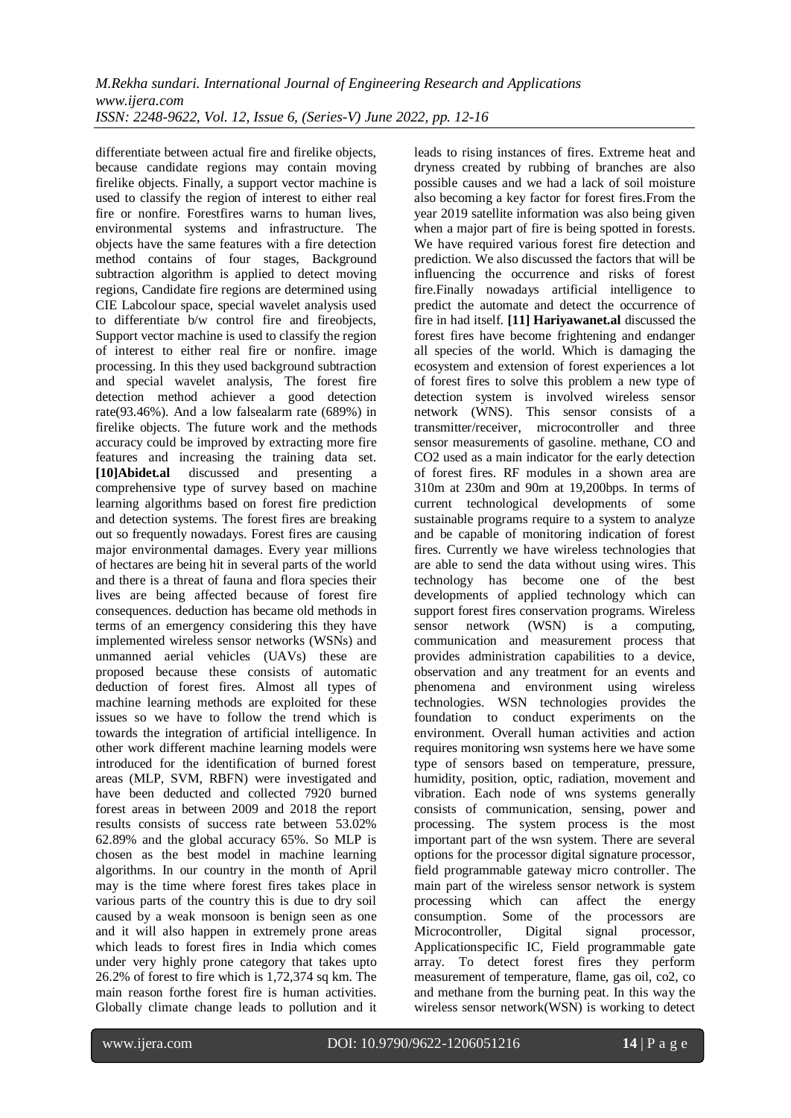differentiate between actual fire and firelike objects, because candidate regions may contain moving firelike objects. Finally, a support vector machine is used to classify the region of interest to either real fire or nonfire. Forestfires warns to human lives, environmental systems and infrastructure. The objects have the same features with a fire detection method contains of four stages, Background subtraction algorithm is applied to detect moving regions, Candidate fire regions are determined using CIE Labcolour space, special wavelet analysis used to differentiate b/w control fire and fireobjects, Support vector machine is used to classify the region of interest to either real fire or nonfire. image processing. In this they used background subtraction and special wavelet analysis, The forest fire detection method achiever a good detection rate(93.46%). And a low falsealarm rate (689%) in firelike objects. The future work and the methods accuracy could be improved by extracting more fire features and increasing the training data set. **[10]Abidet.al** discussed and presenting a comprehensive type of survey based on machine learning algorithms based on forest fire prediction and detection systems. The forest fires are breaking out so frequently nowadays. Forest fires are causing major environmental damages. Every year millions of hectares are being hit in several parts of the world and there is a threat of fauna and flora species their lives are being affected because of forest fire consequences. deduction has became old methods in terms of an emergency considering this they have implemented wireless sensor networks (WSNs) and unmanned aerial vehicles (UAVs) these are proposed because these consists of automatic deduction of forest fires. Almost all types of machine learning methods are exploited for these issues so we have to follow the trend which is towards the integration of artificial intelligence. In other work different machine learning models were introduced for the identification of burned forest areas (MLP, SVM, RBFN) were investigated and have been deducted and collected 7920 burned forest areas in between 2009 and 2018 the report results consists of success rate between 53.02% 62.89% and the global accuracy 65%. So MLP is chosen as the best model in machine learning algorithms. In our country in the month of April may is the time where forest fires takes place in various parts of the country this is due to dry soil caused by a weak monsoon is benign seen as one and it will also happen in extremely prone areas which leads to forest fires in India which comes under very highly prone category that takes upto 26.2% of forest to fire which is 1,72,374 sq km. The main reason forthe forest fire is human activities. Globally climate change leads to pollution and it

leads to rising instances of fires. Extreme heat and dryness created by rubbing of branches are also possible causes and we had a lack of soil moisture also becoming a key factor for forest fires.From the year 2019 satellite information was also being given when a major part of fire is being spotted in forests. We have required various forest fire detection and prediction. We also discussed the factors that will be influencing the occurrence and risks of forest fire.Finally nowadays artificial intelligence to predict the automate and detect the occurrence of fire in had itself. **[11] Hariyawanet.al** discussed the forest fires have become frightening and endanger all species of the world. Which is damaging the ecosystem and extension of forest experiences a lot of forest fires to solve this problem a new type of detection system is involved wireless sensor network (WNS). This sensor consists of a transmitter/receiver, microcontroller and three sensor measurements of gasoline. methane, CO and CO2 used as a main indicator for the early detection of forest fires. RF modules in a shown area are 310m at 230m and 90m at 19,200bps. In terms of current technological developments of some sustainable programs require to a system to analyze and be capable of monitoring indication of forest fires. Currently we have wireless technologies that are able to send the data without using wires. This technology has become one of the best developments of applied technology which can support forest fires conservation programs. Wireless sensor network (WSN) is a computing, communication and measurement process that provides administration capabilities to a device, observation and any treatment for an events and phenomena and environment using wireless technologies. WSN technologies provides the foundation to conduct experiments on the environment. Overall human activities and action requires monitoring wsn systems here we have some type of sensors based on temperature, pressure, humidity, position, optic, radiation, movement and vibration. Each node of wns systems generally consists of communication, sensing, power and processing. The system process is the most important part of the wsn system. There are several options for the processor digital signature processor, field programmable gateway micro controller. The main part of the wireless sensor network is system processing which can affect the energy consumption. Some of the processors are Microcontroller, Digital signal processor, Applicationspecific IC, Field programmable gate array. To detect forest fires they perform measurement of temperature, flame, gas oil, co2, co and methane from the burning peat. In this way the wireless sensor network(WSN) is working to detect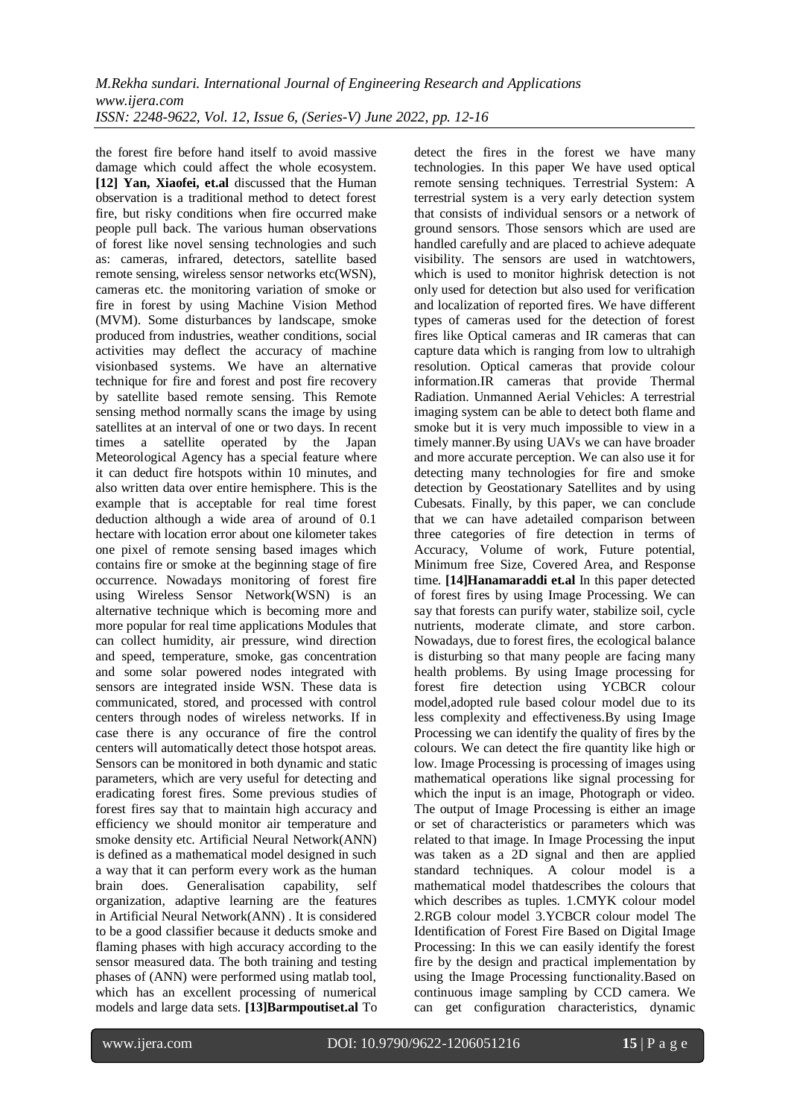the forest fire before hand itself to avoid massive damage which could affect the whole ecosystem. **[12] Yan, Xiaofei, et.al** discussed that the Human observation is a traditional method to detect forest fire, but risky conditions when fire occurred make people pull back. The various human observations of forest like novel sensing technologies and such as: cameras, infrared, detectors, satellite based remote sensing, wireless sensor networks etc(WSN), cameras etc. the monitoring variation of smoke or fire in forest by using Machine Vision Method (MVM). Some disturbances by landscape, smoke produced from industries, weather conditions, social activities may deflect the accuracy of machine visionbased systems. We have an alternative technique for fire and forest and post fire recovery by satellite based remote sensing. This Remote sensing method normally scans the image by using satellites at an interval of one or two days. In recent times a satellite operated by the Japan Meteorological Agency has a special feature where it can deduct fire hotspots within 10 minutes, and also written data over entire hemisphere. This is the example that is acceptable for real time forest deduction although a wide area of around of 0.1 hectare with location error about one kilometer takes one pixel of remote sensing based images which contains fire or smoke at the beginning stage of fire occurrence. Nowadays monitoring of forest fire using Wireless Sensor Network(WSN) is an alternative technique which is becoming more and more popular for real time applications Modules that can collect humidity, air pressure, wind direction and speed, temperature, smoke, gas concentration and some solar powered nodes integrated with sensors are integrated inside WSN. These data is communicated, stored, and processed with control centers through nodes of wireless networks. If in case there is any occurance of fire the control centers will automatically detect those hotspot areas. Sensors can be monitored in both dynamic and static parameters, which are very useful for detecting and eradicating forest fires. Some previous studies of forest fires say that to maintain high accuracy and efficiency we should monitor air temperature and smoke density etc. Artificial Neural Network(ANN) is defined as a mathematical model designed in such a way that it can perform every work as the human brain does. Generalisation capability, self organization, adaptive learning are the features in Artificial Neural Network(ANN) . It is considered to be a good classifier because it deducts smoke and flaming phases with high accuracy according to the sensor measured data. The both training and testing phases of (ANN) were performed using matlab tool, which has an excellent processing of numerical models and large data sets. **[13]Barmpoutiset.al** To detect the fires in the forest we have many technologies. In this paper We have used optical remote sensing techniques. Terrestrial System: A terrestrial system is a very early detection system that consists of individual sensors or a network of ground sensors. Those sensors which are used are handled carefully and are placed to achieve adequate visibility. The sensors are used in watchtowers, which is used to monitor highrisk detection is not only used for detection but also used for verification and localization of reported fires. We have different types of cameras used for the detection of forest fires like Optical cameras and IR cameras that can capture data which is ranging from low to ultrahigh resolution. Optical cameras that provide colour information.IR cameras that provide Thermal Radiation. Unmanned Aerial Vehicles: A terrestrial imaging system can be able to detect both flame and smoke but it is very much impossible to view in a timely manner.By using UAVs we can have broader and more accurate perception. We can also use it for detecting many technologies for fire and smoke detection by Geostationary Satellites and by using Cubesats. Finally, by this paper, we can conclude that we can have adetailed comparison between three categories of fire detection in terms of Accuracy, Volume of work, Future potential, Minimum free Size, Covered Area, and Response time. **[14]Hanamaraddi et.al** In this paper detected of forest fires by using Image Processing. We can say that forests can purify water, stabilize soil, cycle nutrients, moderate climate, and store carbon. Nowadays, due to forest fires, the ecological balance is disturbing so that many people are facing many health problems. By using Image processing for forest fire detection using YCBCR colour model,adopted rule based colour model due to its less complexity and effectiveness.By using Image Processing we can identify the quality of fires by the colours. We can detect the fire quantity like high or low. Image Processing is processing of images using mathematical operations like signal processing for which the input is an image, Photograph or video. The output of Image Processing is either an image or set of characteristics or parameters which was related to that image. In Image Processing the input was taken as a 2D signal and then are applied standard techniques. A colour model is a mathematical model thatdescribes the colours that which describes as tuples. 1.CMYK colour model 2.RGB colour model 3.YCBCR colour model The Identification of Forest Fire Based on Digital Image Processing: In this we can easily identify the forest fire by the design and practical implementation by using the Image Processing functionality.Based on continuous image sampling by CCD camera. We can get configuration characteristics, dynamic